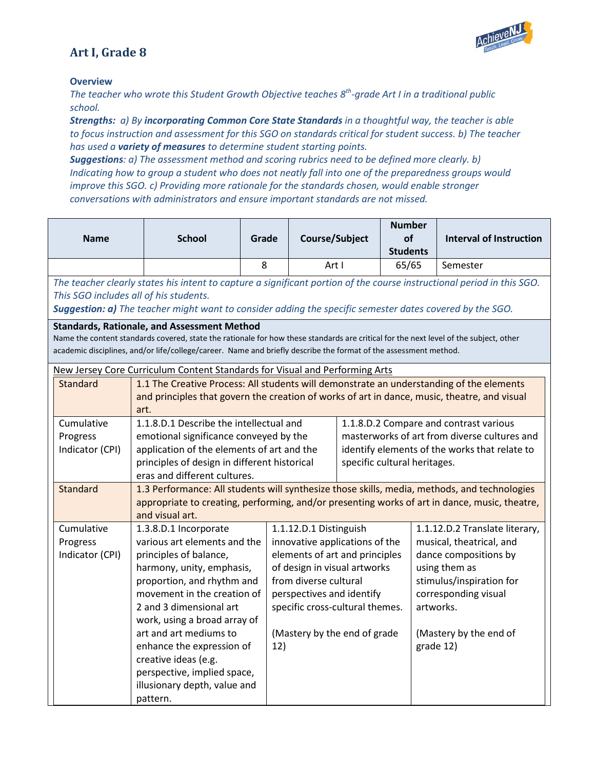# **Art I, Grade 8**



#### **Overview**

*The teacher who wrote this Student Growth Objective teaches 8th-grade Art I in a traditional public school.* 

*Strengths: a) By incorporating Common Core State Standards in a thoughtful way, the teacher is able to focus instruction and assessment for this SGO on standards critical for student success. b) The teacher has used a variety of measures to determine student starting points.*

*Suggestions: a) The assessment method and scoring rubrics need to be defined more clearly. b) Indicating how to group a student who does not neatly fall into one of the preparedness groups would improve this SGO. c) Providing more rationale for the standards chosen, would enable stronger conversations with administrators and ensure important standards are not missed.*

| <b>Name</b>     | <b>School</b>                                                                                                                                                                                                                                                                                                   | Grade | Course/Subject                  |  | <b>Number</b><br>of                           | <b>Interval of Instruction</b>                                                                                         |
|-----------------|-----------------------------------------------------------------------------------------------------------------------------------------------------------------------------------------------------------------------------------------------------------------------------------------------------------------|-------|---------------------------------|--|-----------------------------------------------|------------------------------------------------------------------------------------------------------------------------|
|                 |                                                                                                                                                                                                                                                                                                                 |       |                                 |  | <b>Students</b>                               |                                                                                                                        |
|                 |                                                                                                                                                                                                                                                                                                                 | 8     | Art I                           |  | 65/65                                         | Semester                                                                                                               |
|                 |                                                                                                                                                                                                                                                                                                                 |       |                                 |  |                                               | The teacher clearly states his intent to capture a significant portion of the course instructional period in this SGO. |
|                 | This SGO includes all of his students.                                                                                                                                                                                                                                                                          |       |                                 |  |                                               |                                                                                                                        |
|                 | Suggestion: a) The teacher might want to consider adding the specific semester dates covered by the SGO.                                                                                                                                                                                                        |       |                                 |  |                                               |                                                                                                                        |
|                 | <b>Standards, Rationale, and Assessment Method</b><br>Name the content standards covered, state the rationale for how these standards are critical for the next level of the subject, other<br>academic disciplines, and/or life/college/career. Name and briefly describe the format of the assessment method. |       |                                 |  |                                               |                                                                                                                        |
|                 | New Jersey Core Curriculum Content Standards for Visual and Performing Arts                                                                                                                                                                                                                                     |       |                                 |  |                                               |                                                                                                                        |
| <b>Standard</b> | 1.1 The Creative Process: All students will demonstrate an understanding of the elements                                                                                                                                                                                                                        |       |                                 |  |                                               |                                                                                                                        |
|                 | and principles that govern the creation of works of art in dance, music, theatre, and visual                                                                                                                                                                                                                    |       |                                 |  |                                               |                                                                                                                        |
| Cumulative      | art.                                                                                                                                                                                                                                                                                                            |       |                                 |  |                                               | 1.1.8.D.2 Compare and contrast various                                                                                 |
| Progress        | 1.1.8.D.1 Describe the intellectual and<br>emotional significance conveyed by the                                                                                                                                                                                                                               |       |                                 |  | masterworks of art from diverse cultures and  |                                                                                                                        |
| Indicator (CPI) | application of the elements of art and the                                                                                                                                                                                                                                                                      |       |                                 |  | identify elements of the works that relate to |                                                                                                                        |
|                 | principles of design in different historical                                                                                                                                                                                                                                                                    |       | specific cultural heritages.    |  |                                               |                                                                                                                        |
|                 | eras and different cultures.                                                                                                                                                                                                                                                                                    |       |                                 |  |                                               |                                                                                                                        |
| <b>Standard</b> | 1.3 Performance: All students will synthesize those skills, media, methods, and technologies                                                                                                                                                                                                                    |       |                                 |  |                                               |                                                                                                                        |
|                 | and visual art.                                                                                                                                                                                                                                                                                                 |       |                                 |  |                                               | appropriate to creating, performing, and/or presenting works of art in dance, music, theatre,                          |
| Cumulative      | 1.3.8.D.1 Incorporate                                                                                                                                                                                                                                                                                           |       | 1.1.12.D.1 Distinguish          |  |                                               | 1.1.12.D.2 Translate literary,                                                                                         |
| Progress        | various art elements and the                                                                                                                                                                                                                                                                                    |       | innovative applications of the  |  |                                               | musical, theatrical, and                                                                                               |
| Indicator (CPI) | principles of balance,                                                                                                                                                                                                                                                                                          |       | elements of art and principles  |  |                                               | dance compositions by                                                                                                  |
|                 | harmony, unity, emphasis,                                                                                                                                                                                                                                                                                       |       | of design in visual artworks    |  |                                               | using them as                                                                                                          |
|                 | proportion, and rhythm and                                                                                                                                                                                                                                                                                      |       | from diverse cultural           |  |                                               | stimulus/inspiration for                                                                                               |
|                 | movement in the creation of<br>2 and 3 dimensional art                                                                                                                                                                                                                                                          |       | perspectives and identify       |  |                                               | corresponding visual<br>artworks.                                                                                      |
|                 | work, using a broad array of                                                                                                                                                                                                                                                                                    |       | specific cross-cultural themes. |  |                                               |                                                                                                                        |
|                 | art and art mediums to                                                                                                                                                                                                                                                                                          |       | (Mastery by the end of grade    |  |                                               | (Mastery by the end of                                                                                                 |
|                 | enhance the expression of                                                                                                                                                                                                                                                                                       | 12)   |                                 |  |                                               | grade 12)                                                                                                              |
|                 | creative ideas (e.g.                                                                                                                                                                                                                                                                                            |       |                                 |  |                                               |                                                                                                                        |
|                 | perspective, implied space,                                                                                                                                                                                                                                                                                     |       |                                 |  |                                               |                                                                                                                        |
|                 | illusionary depth, value and                                                                                                                                                                                                                                                                                    |       |                                 |  |                                               |                                                                                                                        |
|                 | pattern.                                                                                                                                                                                                                                                                                                        |       |                                 |  |                                               |                                                                                                                        |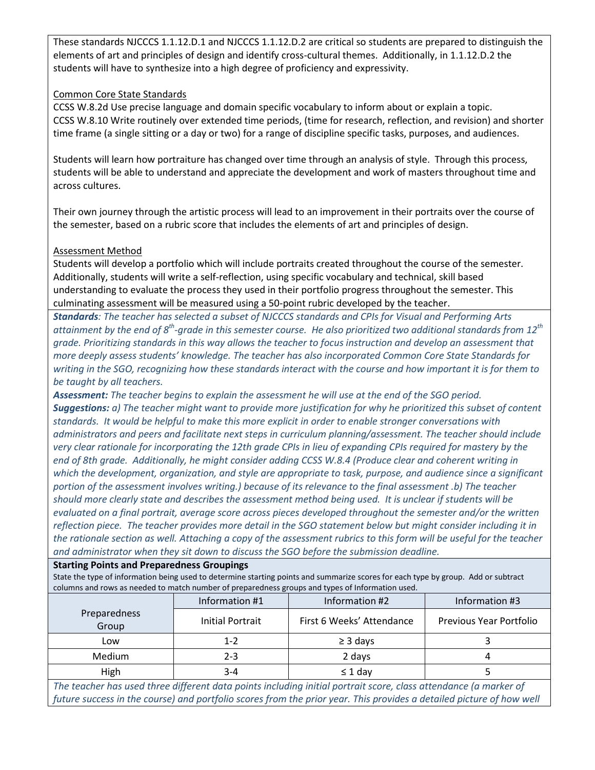These standards NJCCCS 1.1.12.D.1 and NJCCCS 1.1.12.D.2 are critical so students are prepared to distinguish the elements of art and principles of design and identify cross-cultural themes. Additionally, in 1.1.12.D.2 the students will have to synthesize into a high degree of proficiency and expressivity.

# Common Core State Standards

CCSS W.8.2d Use precise language and domain specific vocabulary to inform about or explain a topic. CCSS W.8.10 Write routinely over extended time periods, (time for research, reflection, and revision) and shorter time frame (a single sitting or a day or two) for a range of discipline specific tasks, purposes, and audiences.

Students will learn how portraiture has changed over time through an analysis of style. Through this process, students will be able to understand and appreciate the development and work of masters throughout time and across cultures.

Their own journey through the artistic process will lead to an improvement in their portraits over the course of the semester, based on a rubric score that includes the elements of art and principles of design.

# Assessment Method

Students will develop a portfolio which will include portraits created throughout the course of the semester. Additionally, students will write a self-reflection, using specific vocabulary and technical, skill based understanding to evaluate the process they used in their portfolio progress throughout the semester. This culminating assessment will be measured using a 50-point rubric developed by the teacher.

*Standards: The teacher has selected a subset of NJCCCS standards and CPIs for Visual and Performing Arts attainment by the end of 8th-grade in this semester course. He also prioritized two additional standards from 12th grade. Prioritizing standards in this way allows the teacher to focus instruction and develop an assessment that more deeply assess students' knowledge. The teacher has also incorporated Common Core State Standards for writing in the SGO, recognizing how these standards interact with the course and how important it is for them to be taught by all teachers.*

*Assessment: The teacher begins to explain the assessment he will use at the end of the SGO period. Suggestions: a) The teacher might want to provide more justification for why he prioritized this subset of content standards. It would be helpful to make this more explicit in order to enable stronger conversations with administrators and peers and facilitate next steps in curriculum planning/assessment. The teacher should include very clear rationale for incorporating the 12th grade CPIs in lieu of expanding CPIs required for mastery by the end of 8th grade. Additionally, he might consider adding CCSS [W.8.4](http://www.corestandards.org/ELA-Literacy/W/8/4/) (Produce clear and coherent writing in*  which the development, organization, and style are appropriate to task, purpose, and audience since a significant *portion of the assessment involves writing.) because of its relevance to the final assessment .b) The teacher should more clearly state and describes the assessment method being used. It is unclear if students will be evaluated on a final portrait, average score across pieces developed throughout the semester and/or the written reflection piece. The teacher provides more detail in the SGO statement below but might consider including it in the rationale section as well. Attaching a copy of the assessment rubrics to this form will be useful for the teacher and administrator when they sit down to discuss the SGO before the submission deadline.*

## **Starting Points and Preparedness Groupings**

State the type of information being used to determine starting points and summarize scores for each type by group. Add or subtract columns and rows as needed to match number of preparedness groups and types of Information used.

|                              | Information #1   | Information #2            | Information #3          |  |
|------------------------------|------------------|---------------------------|-------------------------|--|
| <b>Preparedness</b><br>Group | Initial Portrait | First 6 Weeks' Attendance | Previous Year Portfolio |  |
| LOW                          | $1 - 2$          | $\geq$ 3 days             |                         |  |
| Medium                       | $2 - 3$          | 2 days                    |                         |  |
| High                         | $3 - 4$          | $\leq$ 1 day              |                         |  |

*The teacher has used three different data points including initial portrait score, class attendance (a marker of*  future success in the course) and portfolio scores from the prior year. This provides a detailed picture of how well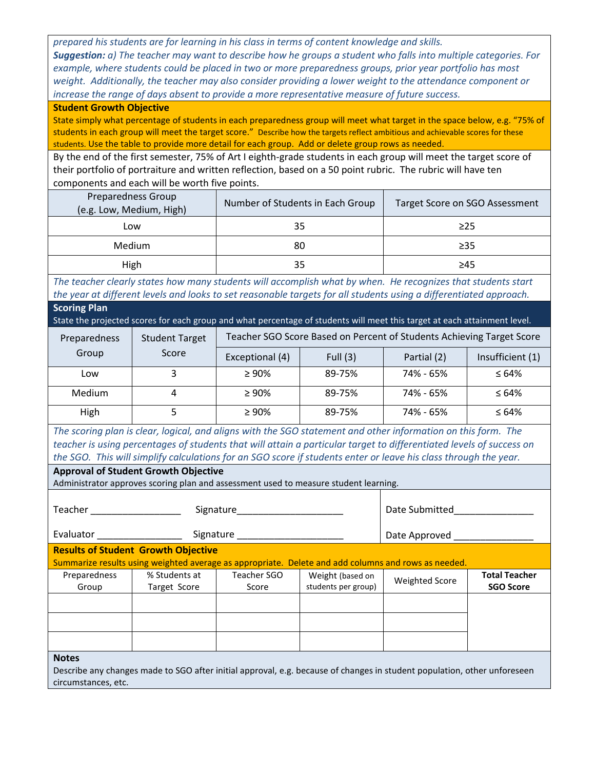*prepared his students are for learning in his class in terms of content knowledge and skills. Suggestion: a) The teacher may want to describe how he groups a student who falls into multiple categories. For example, where students could be placed in two or more preparedness groups, prior year portfolio has most*  weight. Additionally, the teacher may also consider providing a lower weight to the attendance component or *increase the range of days absent to provide a more representative measure of future success.*

#### **Student Growth Objective**

State simply what percentage of students in each preparedness group will meet what target in the space below, e.g. "75% of students in each group will meet the target score." Describe how the targets reflect ambitious and achievable scores for these students. Use the table to provide more detail for each group. Add or delete group rows as needed.

By the end of the first semester, 75% of Art I eighth-grade students in each group will meet the target score of their portfolio of portraiture and written reflection, based on a 50 point rubric. The rubric will have ten components and each will be worth five points.

| <b>Preparedness Group</b><br>(e.g. Low, Medium, High) | Number of Students in Each Group | Target Score on SGO Assessment |
|-------------------------------------------------------|----------------------------------|--------------------------------|
| Low                                                   | 35                               | $\geq$ 25                      |
| Medium                                                | 80                               | $\geq$ 35                      |
| High                                                  | 35                               | ≥45                            |

*The teacher clearly states how many students will accomplish what by when. He recognizes that students start the year at different levels and looks to set reasonable targets for all students using a differentiated approach.* **Scoring Plan**

State the projected scores for each group and what percentage of students will meet this target at each attainment level.

| Preparedness | <b>Student Target</b> | Teacher SGO Score Based on Percent of Students Achieving Target Score |            |             |                  |
|--------------|-----------------------|-----------------------------------------------------------------------|------------|-------------|------------------|
| Group        | Score                 | Exceptional (4)                                                       | Full $(3)$ | Partial (2) | Insufficient (1) |
| Low          |                       | $\geq 90\%$                                                           | 89-75%     | 74% - 65%   | $\leq 64\%$      |
| Medium       | 4                     | $\geq 90\%$                                                           | 89-75%     | 74% - 65%   | $\leq 64\%$      |
| High         |                       | $\geq 90\%$                                                           | 89-75%     | 74% - 65%   | $\leq 64\%$      |

*The scoring plan is clear, logical, and aligns with the SGO statement and other information on this form. The teacher is using percentages of students that will attain a particular target to differentiated levels of success on the SGO. This will simplify calculations for an SGO score if students enter or leave his class through the year.*

## **Approval of Student Growth Objective**

Administrator approves scoring plan and assessment used to measure student learning.

| Teacher      | Signature                                  |                      |                     | Date Submitted                                                                                      |                      |
|--------------|--------------------------------------------|----------------------|---------------------|-----------------------------------------------------------------------------------------------------|----------------------|
| Evaluator    |                                            | Signature __________ |                     | Date Approved                                                                                       |                      |
|              | <b>Results of Student Growth Objective</b> |                      |                     |                                                                                                     |                      |
|              |                                            |                      |                     | Summarize results using weighted average as appropriate. Delete and add columns and rows as needed. |                      |
| Preparedness | % Students at                              | Teacher SGO          | Weight (based on    | <b>Weighted Score</b>                                                                               | <b>Total Teacher</b> |
| Group        | Target Score                               | Score                | students per group) |                                                                                                     | <b>SGO Score</b>     |
|              |                                            |                      |                     |                                                                                                     |                      |
|              |                                            |                      |                     |                                                                                                     |                      |
|              |                                            |                      |                     |                                                                                                     |                      |
|              |                                            |                      |                     |                                                                                                     |                      |
| <b>Notes</b> |                                            |                      |                     |                                                                                                     |                      |

Describe any changes made to SGO after initial approval, e.g. because of changes in student population, other unforeseen circumstances, etc.